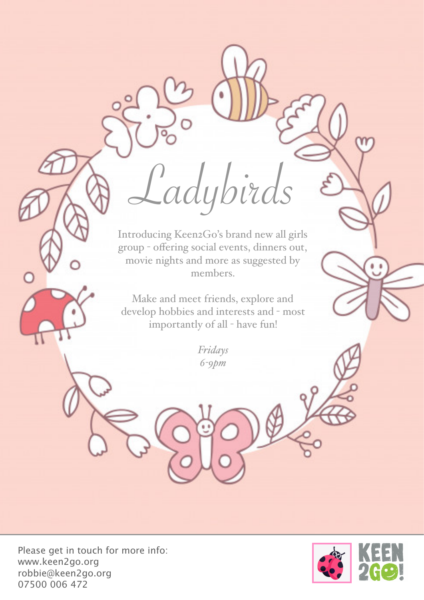Introducing Keen2Go's brand new all girls group - offering social events, dinners out, movie nights and more as suggested by members.

Ladybird.

Make and meet friends, explore and develop hobbies and interests and - most importantly of all - have fun!

> *Fridays 6-9pm*

Please get in touch for more info: www.keen2go.org robbie@keen2go.org 07500 006 472

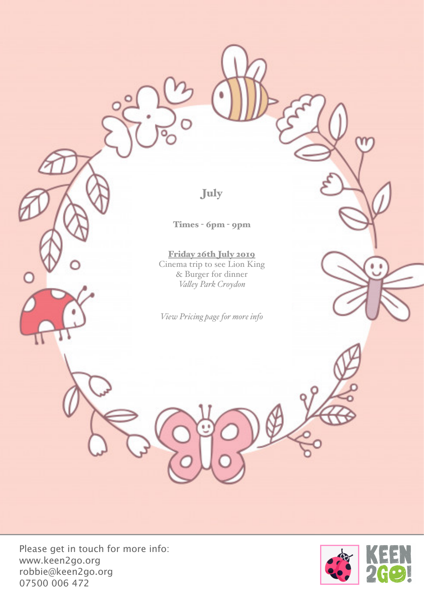July

Times - 6pm - 9pm

Friday 26th July 2019 Cinema trip to see Lion King & Burger for dinner *Valey Park Croydon*

*View Pricing page for more info*

Please get in touch for more info: www.keen2go.org robbie@keen2go.org 07500 006 472

 $\bigcap$ 



٥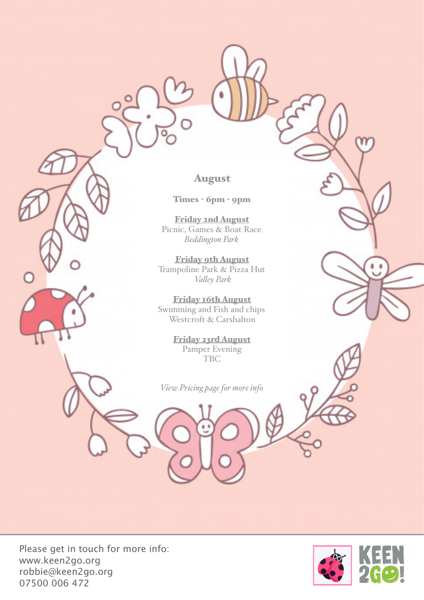August

Times - 6pm - 9pm

Friday 2nd August Picnic, Games & Boat Race *Beddington Park*

Friday 9th August Trampoline Park & Pizza Hut *Valey Park* 

Friday 16th August Swimming and Fish and chips Westcroft & Carshalton

> Friday 23rd August Pamper Evening TBC

*View Pricing page for more info* 

Please get in touch for more info: www.keen2go.org robbie@keen2go.org 07500 006 472

 $\bigcap$